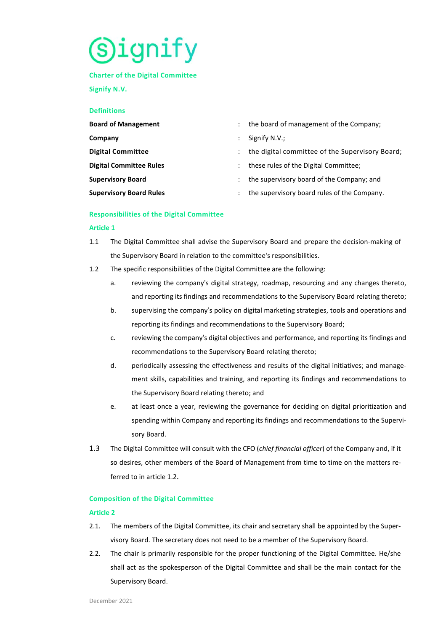# s)ignity

## **Charter of the Digital Committee**

**Signify N.V.** 

# **Definitions**

| <b>Board of Management</b>     |                      | the board of management of the Company;         |
|--------------------------------|----------------------|-------------------------------------------------|
| Company                        |                      | Signify N.V.;                                   |
| <b>Digital Committee</b>       |                      | the digital committee of the Supervisory Board; |
| <b>Digital Committee Rules</b> | $\ddot{\phantom{0}}$ | these rules of the Digital Committee;           |
| <b>Supervisory Board</b>       |                      | the supervisory board of the Company; and       |
| <b>Supervisory Board Rules</b> | ÷                    | the supervisory board rules of the Company.     |

## **Responsibilities of the Digital Committee**

# **Article 1**

- 1.1 The Digital Committee shall advise the Supervisory Board and prepare the decision-making of the Supervisory Board in relation to the committee's responsibilities.
- 1.2 The specific responsibilities of the Digital Committee are the following:
	- a. reviewing the company's digital strategy, roadmap, resourcing and any changes thereto, and reporting its findings and recommendations to the Supervisory Board relating thereto;
	- b. supervising the company's policy on digital marketing strategies, tools and operations and reporting its findings and recommendations to the Supervisory Board;
	- c. reviewing the company's digital objectives and performance, and reporting its findings and recommendations to the Supervisory Board relating thereto;
	- d. periodically assessing the effectiveness and results of the digital initiatives; and management skills, capabilities and training, and reporting its findings and recommendations to the Supervisory Board relating thereto; and
	- e. at least once a year, reviewing the governance for deciding on digital prioritization and spending within Company and reporting its findings and recommendations to the Supervisory Board.
- 1.3 The Digital Committee will consult with the CFO (*chief financial officer*) of the Company and, if it so desires, other members of the Board of Management from time to time on the matters referred to in article 1.2.

# **Composition of the Digital Committee**

# **Article 2**

- 2.1. The members of the Digital Committee, its chair and secretary shall be appointed by the Supervisory Board. The secretary does not need to be a member of the Supervisory Board.
- 2.2. The chair is primarily responsible for the proper functioning of the Digital Committee. He/she shall act as the spokesperson of the Digital Committee and shall be the main contact for the Supervisory Board.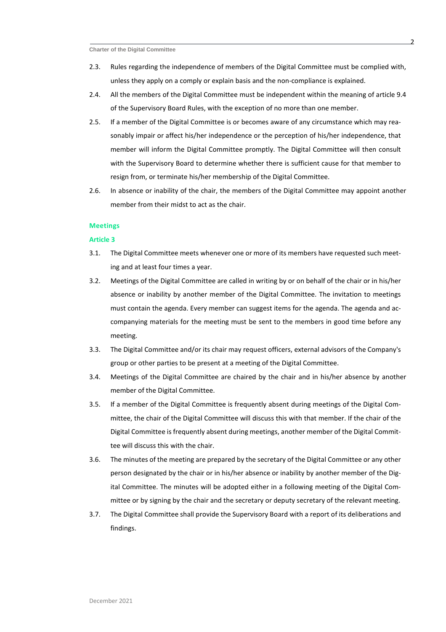- 2.3. Rules regarding the independence of members of the Digital Committee must be complied with, unless they apply on a comply or explain basis and the non-compliance is explained.
- 2.4. All the members of the Digital Committee must be independent within the meaning of article 9.4 of the Supervisory Board Rules, with the exception of no more than one member.
- 2.5. If a member of the Digital Committee is or becomes aware of any circumstance which may reasonably impair or affect his/her independence or the perception of his/her independence, that member will inform the Digital Committee promptly. The Digital Committee will then consult with the Supervisory Board to determine whether there is sufficient cause for that member to resign from, or terminate his/her membership of the Digital Committee.
- 2.6. In absence or inability of the chair, the members of the Digital Committee may appoint another member from their midst to act as the chair.

## **Meetings**

#### **Article 3**

- 3.1. The Digital Committee meets whenever one or more of its members have requested such meeting and at least four times a year.
- 3.2. Meetings of the Digital Committee are called in writing by or on behalf of the chair or in his/her absence or inability by another member of the Digital Committee. The invitation to meetings must contain the agenda. Every member can suggest items for the agenda. The agenda and accompanying materials for the meeting must be sent to the members in good time before any meeting.
- 3.3. The Digital Committee and/or its chair may request officers, external advisors of the Company's group or other parties to be present at a meeting of the Digital Committee.
- 3.4. Meetings of the Digital Committee are chaired by the chair and in his/her absence by another member of the Digital Committee.
- 3.5. If a member of the Digital Committee is frequently absent during meetings of the Digital Committee, the chair of the Digital Committee will discuss this with that member. If the chair of the Digital Committee is frequently absent during meetings, another member of the Digital Committee will discuss this with the chair.
- 3.6. The minutes of the meeting are prepared by the secretary of the Digital Committee or any other person designated by the chair or in his/her absence or inability by another member of the Digital Committee. The minutes will be adopted either in a following meeting of the Digital Committee or by signing by the chair and the secretary or deputy secretary of the relevant meeting.
- 3.7. The Digital Committee shall provide the Supervisory Board with a report of its deliberations and findings.